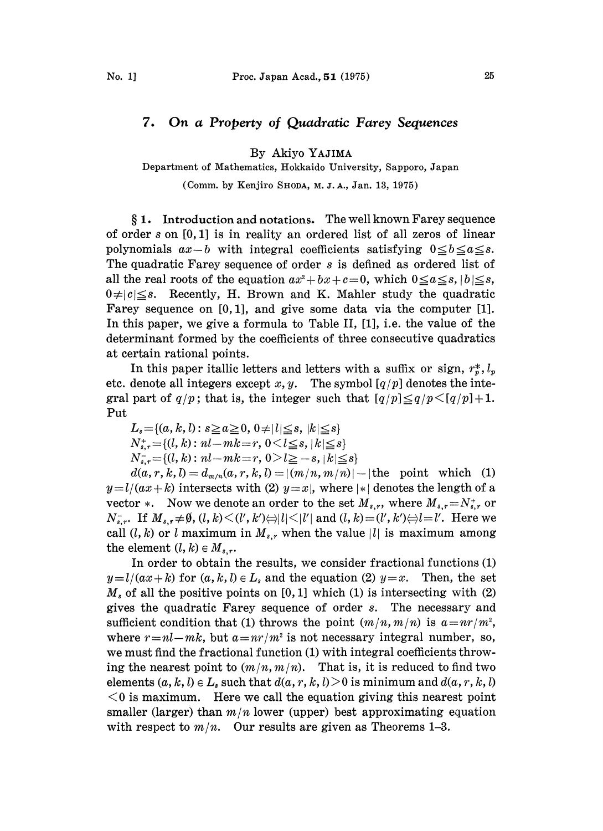## 7. On a Property of Quadratic Farey Sequences

By Akiyo YAJIMA

Department of Mathematics, Hokkaido University, Sapporo, Japan

(Comm. by Kenjiro SHODA, M. J. A., Jan. 13, 1975)

§1. Introduction and notations. The well known Farey sequence of order s on [0, 1] is in reality an ordered list of all zeros of linear polynomials  $ax - b$  with integral coefficients satisfying  $0 \leq b \leq a \leq s$ . The quadratic Farey sequence of order s is defined as ordered list of all the real roots of the equation  $ax^2 + bx + c = 0$ , which  $0 \le a \le s, |b| \le s$ ,  $0 \neq |c| \leq s$ . Recently, H. Brown and K. Mahler study the quadratic Farey sequence on [0, 1], and give some data via the computer [1]. In this paper, we give a formula to Table II, [1], i.e. the value of the determinant formed by the coefficients of three consecutive quadratics at certain rational points.

In this paper itallic letters and letters with a suffix or sign,  $r_r^*, l_p$ etc. denote all integers except x, y. The symbol  $\left\lfloor q/p\right\rfloor$  denotes the integral part of  $q/p$ ; that is, the integer such that  $\lfloor q/p \rfloor \leq q/p \leq \lfloor q/p \rfloor +1$ . Put

 $L_s = \{(a, k, l) : s \ge a \ge 0, 0 \ne l \le s, |k| \le s\}$  $N_{s,r}^* = \{(l, k): nl - mk = r, 0 < l \leq s, |k| \leq s\}$  $N_{s,r}^-\!\!=\!\{(l,k): nl\!\!-\!\!mk\!=\!r, 0\!\geq\!l\geq -s, |k|\leq s\}$ 

 $d(a, r, k, l) = d_{m/n}(a, r, k, l) = |(m/n, m/n)| - |$ the point which (1)  $y = l/(ax + k)$  intersects with (2)  $y=x$ , where  $|*|$  denotes the length of a vector  $*$ . Now we denote an order to the set  $M_{s,r}$ , where  $M_{s,r}=N_{s,r}^{+}$  or  $N_{s,r}^-$ . If  $M_{s,r} \neq \emptyset$ ,  $(l, k) \leq (l', k') \Leftrightarrow l \mid l \mid \leq |l'|$  and  $(l, k) = (l', k') \Leftrightarrow l = l'$ . Here we call  $(l, k)$  or l maximum in  $M_{s,r}$  when the value |l| is maximum among the element  $(l, k) \in M_{s,r}$ .

In order to obtain the results, we consider fractional functions (1)  $y = l/(ax + k)$  for  $(a, k, l) \in L_s$  and the equation (2)  $y = x$ . Then, the set  $M_s$  of all the positive points on [0, 1] which (1) is intersecting with (2) gives the quadratic Farey sequence of order s. The necessary and sufficient condition that (1) throws the point  $(m/n, m/n)$  is  $a=nr/m^2$ , where  $r=n-l-mk$ , but  $a=nr/m^2$  is not necessary integral number, so, we must find the fractional function (1) with integral coefficients throwing the nearest point to  $(m/n, m/n)$ . That is, it is reduced to find two elements  $(a, k, l) \in L_s$  such that  $d(a, r, k, l) > 0$  is minimum and  $d(a, r, k, l)$  $0$  is maximum. Here we call the equation giving this nearest point smaller (larger) than  $m/n$  lower (upper) best approximating equation with respect to  $m/n$ . Our results are given as Theorems 1-3.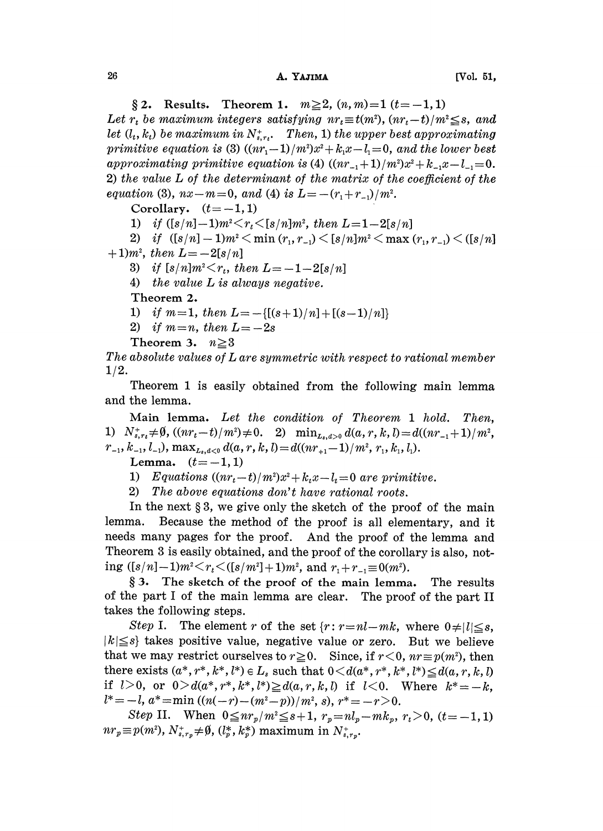§ 2. Results. Theorem 1.  $m \ge 2$ ,  $(n, m) = 1$   $(t = -1, 1)$ Let  $r_t$  be maximum integers satisfying  $nr_t \equiv t(m^2)$ ,  $(nr_t-t)/m^2 \leq s$ , and let  $(l_t, k_t)$  be maximum in  $N_{s, r_t}^*$ . Then, 1) the upper best approximating primitive equation is (3)  $((nr_1-1)/m^2)x^2 + k_1x-l_1=0$ , and the lower best approximating primitive equation is (4)  $((nr_{-1}+1)/m^2)x^2+k_{-1}x-l_{-1}=0$ . 2) the value L of the determinant of the matrix of the coefficient of the equation (3),  $nx-m=0$ , and (4) is  $L=-(r_1+r_{-1})/m^2$ .

Corollary.  $(t = -1, 1)$ 

1) if  $([s/n]-1)m^2\leq r_t\leq [s/n]m^2$ , then  $L=1-2[s/n]$ 

2) if  $([s/n] - 1)m^2 < \min(r_1, r_1) < [s/n]m^2 < \max(r_1, r_1) < ([s/n])$  $+ 1$ )*m*<sup>2</sup>, then  $L = -2[s/n]$ 

3) if  $[s/n]m^2 \lt r_t$ , then  $L=-1-2[s/n]$ 

4) the value L is always negative.

Theorem 2.

- 1) if  $m=1$ , then  $L=-\{[(s+1)/n]+[(s-1)/n]\}$
- 2) if  $m=n$ , then  $L=-2s$

Theorem 3.  $n \geq 3$ 

The absolute values of L are symmetric with respect to rational member 1/2.

Theorem 1 is easily obtained from the following main lemma and the lemma.

Main lemma. Let the condition of Theorem <sup>1</sup> hold. Then, 1)  $N_{s,r_t}^+\neq 0$ ,  $((nr_t-t)/m^2)\neq 0$ . 2)  $\min_{L_{s},d>0}d(a,r,k,l)=d((nr_{-1}+1)/m)$  $r_{-1}, k_{-1}, l_{-1}$ ,  $\max_{L_s, d<0} d(a, r, k, l) = d((nr_{+1}-1)/m^2, r_1, k_1, l_1).$ 

Lemma.  $(t=-1, 1)$ 

1) Equations  $((nr_t-t)/m^2)x^2+k_tx-l_t=0$  are primitive.

2) The above equations don't have rational roots.

In the next  $\S 3$ , we give only the sketch of the proof of the main lemma. Because the method of the proof is all elementary, and it needs many pages for the proof. And the proof of the lemma and Theorem 3 is easily obtained, and the proof of the corollary is also, noting  $([s/n]-1)m^2 \lt r_t \lt ([s/m^2]+ 1)m^2$ , and  $r_1 + r_{-1} \equiv 0(m^2)$ .

3. The sketch of the proof of the main lemma. The results of the part I of the main lemma are clear. The proof of the part II takes the following steps.

Step I. The element r of the set  $\{r: r=n-l-mk, \text{ where } 0\neq |l|\leq s, \}$  $|k| \leq s$  takes positive value, negative value or zero. But we believe that we may restrict ourselves to  $r \ge 0$ . Since, if  $r < 0$ ,  $nr \equiv p(m^2)$ , then there exists  $(a^*, r^*, k^*, l^*) \in L$ , such that  $0 \leq d(a^*, r^*, k^*, l^*) \leq d(a, r, k, l)$ if  $l>0$ , or  $0>d(a^*,r^*,k^*,l^*)\geq d(a,r,k,l)$  if  $l<0$ . Where  $k^*=-k$ ,  $l^*=-l$ ,  $a^*=\min ((n(-r)-(m^2-p))/m^2, s)$ ,  $r^*=-r>0$ .

Step II. When  $0 \leq nr_p/m^2 \leq s+1$ ,  $r_p=nl_p-mk_p$ ,  $r_t>0$ ,  $(t=-1,1)$  $nr_p \equiv p(m^2), N^+_{s,r_p} \neq \emptyset$ ,  $(l_p^*, k_p^*)$  maximum in  $N^+_{s_p}$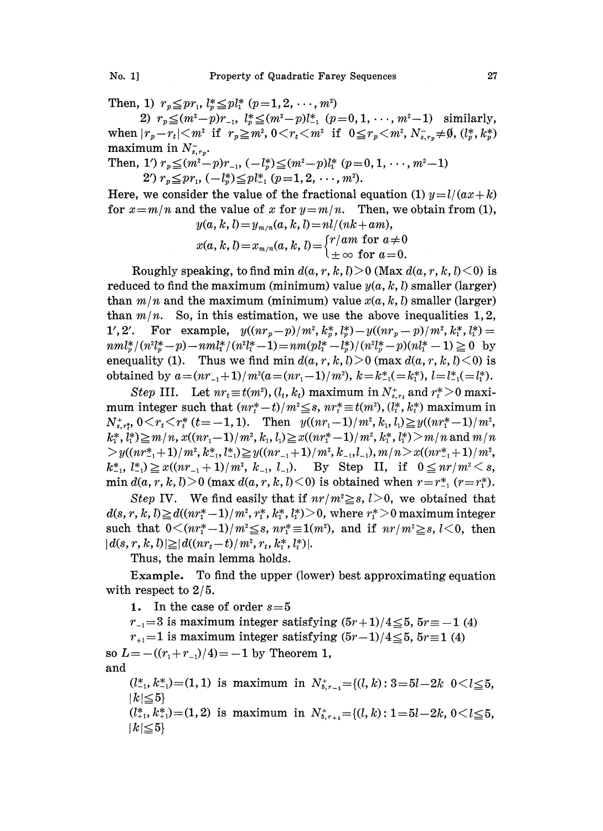Then, 1)  $r_p \leq pr_1, l^*_p \leq pl^*_1$   $(p=1,2,\ldots,m^2)$ 

2)  $r_n \leq (m^2-p)r_{-1}$ ,  $l_n^* \leq (m^2-p)l_{-1}^*$   $(p=0,1,\dots, m^2-1)$  similarly, when  $|r_p-r_t| \leq m^2$  if  $r_p \geq m^2$ ,  $0 \leq r_t \leq m^2$  if  $0 \leq r_p \leq m^2$ ,  $N^-_{s,r_p} \neq \emptyset$ ,  $(l_p^*, k_p^*)$ maximum in  $N_{s,r_p}^-$ .

Then, 1')  $r_p \leq (m^2-p)r_{-1}$ ,  $(-l_p^*) \leq (m^2-p)l_1^*$   $(p=0, 1, \dots, m^2-1)$ 2')  $r_p \leq pr_1, (-l_p^*) \leq pl_{-1}^*$   $(p=1, 2, \dots, m^2).$ 

Here, we consider the value of the fractional equation (1)  $y=l/(ax+k)$ for  $x=m/n$  and the value of x for  $y=m/n$ . Then, we obtain from (1),  $y(a, k, l) = y$ ,  $(a, k, l) = n l/(nk + am)$ 

$$
x(a, k, l) = x_{m/n}(a, k, l) = \begin{cases} r/am & \text{for } a \neq 0 \\ \pm \infty & \text{for } a = 0. \end{cases}
$$

Roughly speaking, to find min  $d(a, r, k, l) > 0$  (Max  $d(a, r, k, l) < 0$ ) is reduced to find the maximum (minimum) value  $y(a, k, l)$  smaller (larger) than  $m/n$  and the maximum (minimum) value  $x(a, k, l)$  smaller (larger) than  $m/n$ . So, in this estimation, we use the above inequalities 1,2, 1', 2'. For example,  $y((nr_p-p)/m^2, k_p^*, l_p^*)-y((nr_p-p)/m^2, k_1^*, l_1^*)=$  $nml_{n}^{*}/(n^{2}l_{n}^{*}-p)-nml_{1}^{*}/(n^{2}l_{1}^{*}-1)=nm(pl_{1}^{*}-l_{n}^{*})/(n^{2}l_{n}^{*}-p)(nl_{1}^{*}-1)\geq 0$  by enequality (1). Thus we find min  $d(a, r, k, l) > 0$  (max  $d(a, r, k, l) < 0$ ) is obtained by  $a=(nr_{-1}+1)/m^2(a=(nr_1-1)/m^2), k=k_{-1}^*(-k_1^*), l=l_{-1}^*(-l_1^*).$ 

Step III. Let  $nr_t \equiv t(m^2)$ ,  $(l_t, k_t)$  maximum in  $N_{s, r_t}^*$  and  $r_t^* > 0$  maximum integer such that  $(nr_t^*-t)/m^2 \leq s$ ,  $nr_t^* \equiv t(m^2), (l_t^*, k_t^*)$  maximum in  $N_{s,t}^*$ ,  $0 \le r_t \le r_t^*$   $(t=-1, 1)$ . Then  $y((nr_1-1)/m^2, k_1, l_1) \ge y((nr_1^*-1)/m^2,$  $k_1^*, l_1^* \ge m/n$ ,  $x((nr_1-1)/m^2, k_1, l_1) \ge x((nr_1^*-1)/m^2, k_1^*, l_1^*) > m/n$  and  $m/n$  $> y((nr_{-1}^*+1)/m^2, k_{-1}^*, l_{-1}^*) \geq y((nr_{-1}+1)/m^2, k_{-1}, l_{-1}), m/n > x((nr_{-1}^*+1)/m^2,$  $k_{-1}^*, l_{-1}^*\geq x((nr_{-1}+1)/m^2, k_{-1}, l_{-1}).$  By Step II, if  $0 \leq nr/m^2 \leq s$ , min  $d(a, r, k, l) > 0$  (max  $d(a, r, k, l) < 0$ ) is obtained when  $r = r_{-1}^*$  ( $r = r_1^*$ ).

Step IV. We find easily that if  $nr/m^2 \geq s$ ,  $l > 0$ , we obtained that  $d(s, r, k, l) \geq d((nr_1^* - 1)/m^2, r_1^*, k_1^*, l_1^*) > 0$ , where  $r_1^* > 0$  maximum integer such that  $0 \leq (nr^* - 1)/m^2 \leq s$ ,  $nr^* \equiv 1(m^2)$ , and if  $nr/m^2 \geq s$ ,  $l < 0$ , then  $|d(s, r, k, l)| \geq |d((nr_t - t)/m^2, r_t, k_t^*, l_t^*)|.$ 

Thus, the main lemma holds.

Example. To find the upper (lower) best approximating equation with respect to 2/5.

1. In the case of order  $s=5$ 

 $r_{-1}=3$  is maximum integer satisfying  $(5r+1)/4 \leq 5$ ,  $5r=-1$  (4)

 $r_{+1}=1$  is maximum integer satisfying  $(5r-1)/4 \le 5$ ,  $5r=1$  (4) so  $L=-(r_1+r_{-1})/4)=-1$  by Theorem 1,

and

 $(l_{-1}^*, k_{-1}^*)$  = (1, 1) is maximum in  $N_{\delta,r-1}^*$  = {(l, k) : 3 = 5l - 2k 0 < l ≤ 5,  $|k| \leq 5$ 

 $(l_{+1}^*, k_{+1}^*)$  = (1, 2) is maximum in  $N_{5,r_{+1}}^*$  = { $(l, k)$  : 1 = 5l - 2k, 0 < l ≤ 5,  $|k| \leq 5$